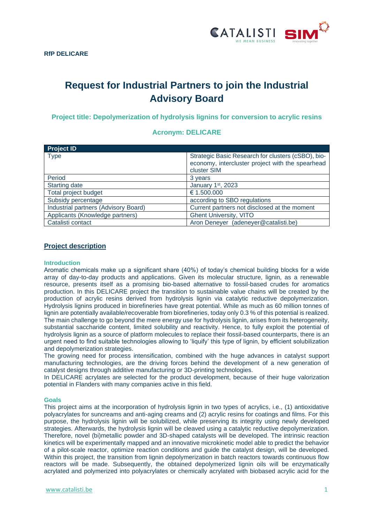

# **Request for Industrial Partners to join the Industrial Advisory Board**

**Project title: Depolymerization of hydrolysis lignins for conversion to acrylic resins**

## **Acronym: DELICARE**

| <b>Project ID</b>                    |                                                                                                                       |
|--------------------------------------|-----------------------------------------------------------------------------------------------------------------------|
| <b>Type</b>                          | Strategic Basic Research for clusters (cSBO), bio-<br>economy, intercluster project with the spearhead<br>cluster SIM |
| Period                               | 3 years                                                                                                               |
| <b>Starting date</b>                 | January 1st, 2023                                                                                                     |
| Total project budget                 | € 1.500.000                                                                                                           |
| Subsidy percentage                   | according to SBO regulations                                                                                          |
| Industrial partners (Advisory Board) | Current partners not disclosed at the moment                                                                          |
| Applicants (Knowledge partners)      | <b>Ghent University, VITO</b>                                                                                         |
| Catalisti contact                    | Aron Deneyer (adeneyer@catalisti.be)                                                                                  |

## **Project description**

#### **Introduction**

Aromatic chemicals make up a significant share (40%) of today's chemical building blocks for a wide array of day-to-day products and applications. Given its molecular structure, lignin, as a renewable resource, presents itself as a promising bio-based alternative to fossil-based crudes for aromatics production. In this DELICARE project the transition to sustainable value chains will be created by the production of acrylic resins derived from hydrolysis lignin via catalytic reductive depolymerization. Hydrolysis lignins produced in biorefineries have great potential. While as much as 60 million tonnes of lignin are potentially available/recoverable from biorefineries, today only 0.3 % of this potential is realized. The main challenge to go beyond the mere energy use for hydrolysis lignin, arises from its heterogeneity, substantial saccharide content, limited solubility and reactivity. Hence, to fully exploit the potential of hydrolysis lignin as a source of platform molecules to replace their fossil-based counterparts, there is an urgent need to find suitable technologies allowing to 'liquify' this type of lignin, by efficient solubilization and depolymerization strategies.

The growing need for process intensification, combined with the huge advances in catalyst support manufacturing technologies, are the driving forces behind the development of a new generation of catalyst designs through additive manufacturing or 3D-printing technologies.

In DELICARE acrylates are selected for the product development, because of their huge valorization potential in Flanders with many companies active in this field.

#### **Goals**

This project aims at the incorporation of hydrolysis lignin in two types of acrylics, i.e., (1) antioxidative polyacrylates for suncreams and anti-aging creams and (2) acrylic resins for coatings and films. For this purpose, the hydrolysis lignin will be solubilized, while preserving its integrity using newly developed strategies. Afterwards, the hydrolysis lignin will be cleaved using a catalytic reductive depolymerization. Therefore, novel (bi)metallic powder and 3D-shaped catalysts will be developed. The intrinsic reaction kinetics will be experimentally mapped and an innovative microkinetic model able to predict the behavior of a pilot-scale reactor, optimize reaction conditions and guide the catalyst design, will be developed. Within this project, the transition from lignin depolymerization in batch reactors towards continuous flow reactors will be made. Subsequently, the obtained depolymerized lignin oils will be enzymatically acrylated and polymerized into polyacrylates or chemically acrylated with biobased acrylic acid for the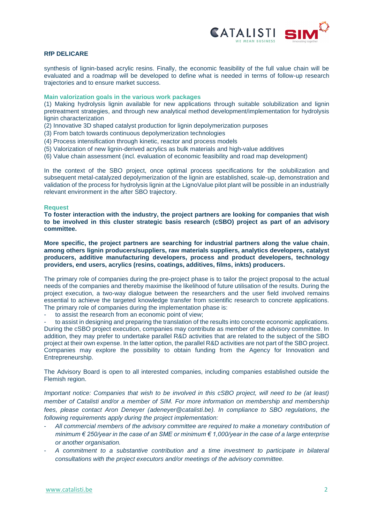

## **RfP DELICARE**

synthesis of lignin-based acrylic resins. Finally, the economic feasibility of the full value chain will be evaluated and a roadmap will be developed to define what is needed in terms of follow-up research trajectories and to ensure market success.

#### **Main valorization goals in the various work packages**

(1) Making hydrolysis lignin available for new applications through suitable solubilization and lignin pretreatment strategies, and through new analytical method development/implementation for hydrolysis lignin characterization

- (2) Innovative 3D shaped catalyst production for lignin depolymerization purposes
- (3) From batch towards continuous depolymerization technologies
- (4) Process intensification through kinetic, reactor and process models
- (5) Valorization of new lignin-derived acrylics as bulk materials and high-value additives
- (6) Value chain assessment (incl. evaluation of economic feasibility and road map development)

In the context of the SBO project, once optimal process specifications for the solubilization and subsequent metal-catalyzed depolymerization of the lignin are established, scale-up, demonstration and validation of the process for hydrolysis lignin at the LignoValue pilot plant will be possible in an industrially relevant environment in the after SBO trajectory.

#### **Request**

**To foster interaction with the industry, the project partners are looking for companies that wish to be involved in this cluster strategic basis research (cSBO) project as part of an advisory committee.**

**More specific, the project partners are searching for industrial partners along the value chain**, **among others lignin producers/suppliers, raw materials suppliers, analytics developers, catalyst producers, additive manufacturing developers, process and product developers, technology providers, end users, acrylics (resins, coatings, additives, films, inkts) producers.**

The primary role of companies during the pre-project phase is to tailor the project proposal to the actual needs of the companies and thereby maximise the likelihood of future utilisation of the results. During the project execution, a two-way dialogue between the researchers and the user field involved remains essential to achieve the targeted knowledge transfer from scientific research to concrete applications. The primary role of companies during the implementation phase is:

to assist the research from an economic point of view;

to assist in designing and preparing the translation of the results into concrete economic applications. During the cSBO project execution, companies may contribute as member of the advisory committee. In addition, they may prefer to undertake parallel R&D activities that are related to the subject of the SBO project at their own expense. In the latter option, the parallel R&D activities are not part of the SBO project. Companies may explore the possibility to obtain funding from the Agency for Innovation and Entrepreneurship.

The Advisory Board is open to all interested companies, including companies established outside the Flemish region.

*Important notice: Companies that wish to be involved in this cSBO project, will need to be (at least) member of Catalisti and/or a member of SIM. For more information on membership and membership fees, please contact Aron Deneyer [\(adeneyer@catalisti.be\)](mailto:adeneyer@catalisti.be). In compliance to SBO regulations, the following requirements apply during the project implementation:*

- *All commercial members of the advisory committee are required to make a monetary contribution of minimum € 250/year in the case of an SME or minimum € 1,000/year in the case of a large enterprise or another organisation.*
- *A commitment to a substantive contribution and a time investment to participate in bilateral consultations with the project executors and/or meetings of the advisory committee.*